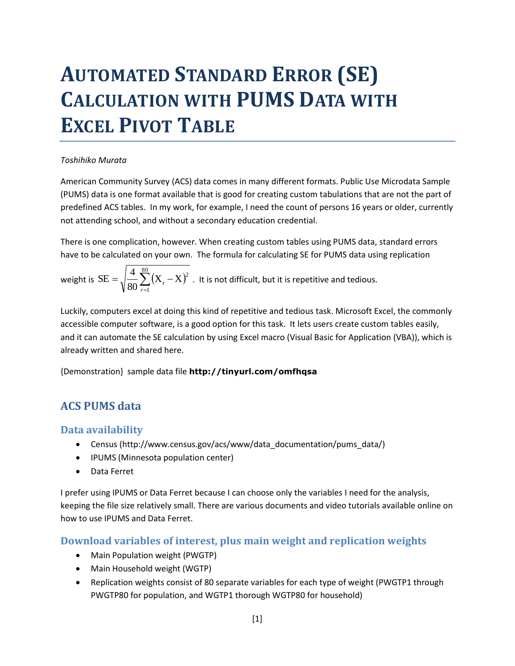# **AUTOMATED STANDARD ERROR (SE) CALCULATION WITH PUMS DATA WITH EXCEL PIVOT TABLE**

#### *Toshihiko Murata*

American Community Survey (ACS) data comes in many different formats. Public Use Microdata Sample (PUMS) data is one format available that is good for creating custom tabulations that are not the part of predefined ACS tables. In my work, for example, I need the count of persons 16 years or older, currently not attending school, and without a secondary education credential.

There is one complication, however. When creating custom tables using PUMS data, standard errors have to be calculated on your own. The formula for calculating SE for PUMS data using replication

weight is  $SE = \sqrt{\frac{4}{80} \sum_{r=1}^{8} (X_r - X)^2}$  $=\sqrt{2\pi}\sum_{r} (X_{r} \frac{1}{80}$ 1  $\frac{4}{80} \sum_{r=1}^{4} (X_r - X)^2$  $SE = \sqrt{\frac{4}{\pi}}$ *r* . It is not difficult, but it is repetitive and tedious.

Luckily, computers excel at doing this kind of repetitive and tedious task. Microsoft Excel, the commonly accessible computer software, is a good option for this task. It lets users create custom tables easily, and it can automate the SE calculation by using Excel macro (Visual Basic for Application (VBA)), which is already written and shared here.

{Demonstration} sample data file **http://tinyurl.com/omfhqsa**

## **ACS PUMS data**

#### **Data availability**

- Census (http://www.census.gov/acs/www/data\_documentation/pums\_data/)
- IPUMS (Minnesota population center)
- Data Ferret

I prefer using IPUMS or Data Ferret because I can choose only the variables I need for the analysis, keeping the file size relatively small. There are various documents and video tutorials available online on how to use IPUMS and Data Ferret.

#### **Download variables of interest, plus main weight and replication weights**

- Main Population weight (PWGTP)
- Main Household weight (WGTP)
- Replication weights consist of 80 separate variables for each type of weight (PWGTP1 through PWGTP80 for population, and WGTP1 thorough WGTP80 for household)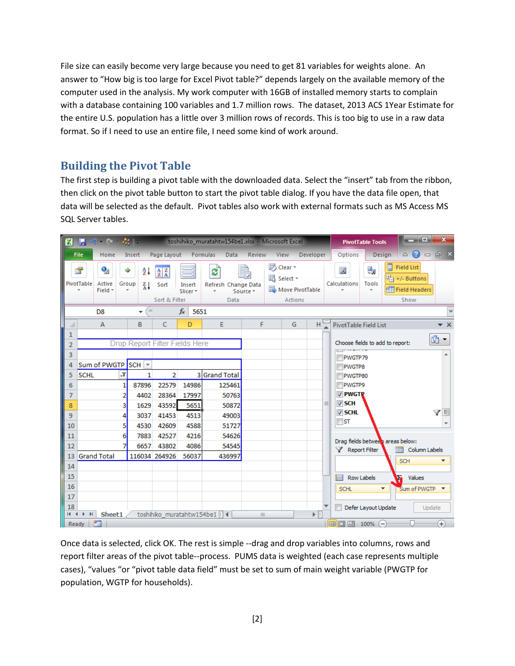File size can easily become very large because you need to get 81 variables for weights alone. An answer to "How big is too large for Excel Pivot table?" depends largely on the available memory of the computer used in the analysis. My work computer with 16GB of installed memory starts to complain with a database containing 100 variables and 1.7 million rows. The dataset, 2013 ACS 1Year Estimate for the entire U.S. population has a little over 3 million rows of records. This is too big to use in a raw data format. So if I need to use an entire file, I need some kind of work around.

### **Building the Pivot Table**

The first step is building a pivot table with the downloaded data. Select the "insert" tab from the ribbon, then click on the pivot table button to start the pivot table dialog. If you have the data file open, that data will be selected as the default. Pivot tables also work with external formats such as MS Access MS SQL Server tables.

| $9 - 8 - 22 =$<br><b>KIE</b>             |                                               |                        |                                                      | toshihiko_muratahtw154be1.xlsx - Microsoft Excel |                                  |                       |                                |                            |   |                                                              | أكراهما<br><b>PivotTable Tools</b> |                                                                              | $\mathbf{x}$            |
|------------------------------------------|-----------------------------------------------|------------------------|------------------------------------------------------|--------------------------------------------------|----------------------------------|-----------------------|--------------------------------|----------------------------|---|--------------------------------------------------------------|------------------------------------|------------------------------------------------------------------------------|-------------------------|
|                                          | <b>File</b><br>Home                           | Insert                 | Page Layout                                          |                                                  | Formulas<br>Data                 | Review                | View                           | Developer                  |   | Options                                                      | Design                             | $\circ$ $\circ$                                                              | $  \mathbb{R}$ $\times$ |
|                                          | o,<br>e en<br>PivotTable<br>Active<br>Field * | ⇒<br>≜↓<br>Group<br>Z↓ | $\frac{A}{Z}$ $\frac{Z}{A}$<br>Sort<br>Sort & Filter | Insert<br>Slicer *                               | ø<br>Refresh Change Data<br>Data | Source *              | <b>踢</b> Clear ▼<br>跟 Select * | Move PivotTable<br>Actions |   | 露<br>Calculations                                            | 佩<br><b>Tools</b>                  | 冒<br><b>Field List</b><br>$\frac{H}{H}$ +/- Buttons<br>Field Headers<br>Show |                         |
| D <sub>8</sub>                           |                                               |                        |                                                      | $f_x$<br>5651                                    |                                  |                       |                                |                            |   |                                                              |                                    |                                                                              | v                       |
| ⊿                                        | $\overline{A}$                                | B                      | $\mathsf{C}$                                         | D                                                | E                                | F                     |                                | G<br>H.                    |   | PivotTable Field List                                        |                                    |                                                                              | $\star \times$          |
| 1<br>$\overline{2}$                      | Drop Report Filter Fields Here                |                        |                                                      |                                                  |                                  |                       |                                |                            |   | 凾<br>$\blacktriangledown$<br>Choose fields to add to report: |                                    |                                                                              |                         |
| 3                                        |                                               |                        |                                                      |                                                  |                                  |                       |                                |                            |   |                                                              |                                    |                                                                              |                         |
| 4                                        | Sum of PWGTP                                  | $SCH$ $\rightarrow$    |                                                      |                                                  |                                  |                       |                                |                            |   | PWGTP79<br>PWGTP8                                            |                                    |                                                                              |                         |
| 5                                        | $\sqrt{1}$<br><b>SCHL</b>                     | 1                      | $\overline{2}$                                       |                                                  | 3 Grand Total                    |                       |                                |                            |   | PWGTP80                                                      |                                    |                                                                              |                         |
| 6                                        |                                               | 87896                  | 22579                                                | 14986                                            | 125461                           |                       |                                |                            |   | <b>PWGTP9</b>                                                |                                    |                                                                              |                         |
| $\overline{7}$                           |                                               | 4402                   | 28364                                                | 17997                                            | 50763                            |                       |                                |                            |   | <b>V</b> PWGTR                                               |                                    |                                                                              |                         |
| 8                                        | 3                                             | 1629                   | 43592                                                | 5651                                             | 50872                            |                       |                                |                            | ≡ | V <sub>SCH</sub>                                             |                                    |                                                                              |                         |
| 9                                        |                                               | 3037                   | 41453                                                | 4513                                             | 49003                            |                       |                                |                            |   | V SCHL<br>$\Box$ ST                                          |                                    |                                                                              | VE                      |
| 10                                       | 5                                             | 4530                   | 42609                                                | 4588                                             | 51727                            |                       |                                |                            |   |                                                              |                                    |                                                                              |                         |
| 11                                       | 6                                             | 7883                   | 42527                                                | 4216                                             | 54626                            |                       |                                |                            |   |                                                              |                                    | Drag fields between areas below:                                             |                         |
| 12                                       |                                               | 6657                   | 43802                                                | 4086                                             | 54545                            |                       |                                |                            |   | Report Filter                                                |                                    | Column Labels                                                                |                         |
| 13                                       | <b>Grand Total</b>                            |                        | 116034 264926                                        | 56037                                            | 436997                           |                       |                                |                            |   |                                                              |                                    | <b>SCH</b>                                                                   |                         |
| 14                                       |                                               |                        |                                                      |                                                  |                                  |                       |                                |                            |   |                                                              |                                    |                                                                              |                         |
| 15                                       |                                               |                        |                                                      |                                                  |                                  |                       |                                |                            |   | <b>Hill Row Labels</b>                                       |                                    | ъ<br>Values                                                                  |                         |
| 16<br>17                                 |                                               |                        |                                                      |                                                  |                                  |                       |                                |                            |   | <b>SCHL</b>                                                  | ▼                                  | Sum of PWGTP T                                                               |                         |
| 18                                       |                                               |                        |                                                      |                                                  |                                  |                       |                                |                            |   |                                                              | Defer Layout Update                |                                                                              | Update                  |
|                                          | $M + M$<br>Sheet1                             |                        |                                                      |                                                  | toshihiko_muratahtw154be1   4    | $\parallel \parallel$ |                                | ÞГ                         |   |                                                              |                                    |                                                                              |                         |
| 田 回 四<br>Ð<br>P.<br>$100\%$ (-)<br>Ready |                                               |                        |                                                      |                                                  |                                  |                       |                                |                            |   |                                                              |                                    |                                                                              |                         |

Once data is selected, click OK. The rest is simple --drag and drop variables into columns, rows and report filter areas of the pivot table--process. PUMS data is weighted (each case represents multiple cases), "values "or "pivot table data field" must be set to sum of main weight variable (PWGTP for population, WGTP for households).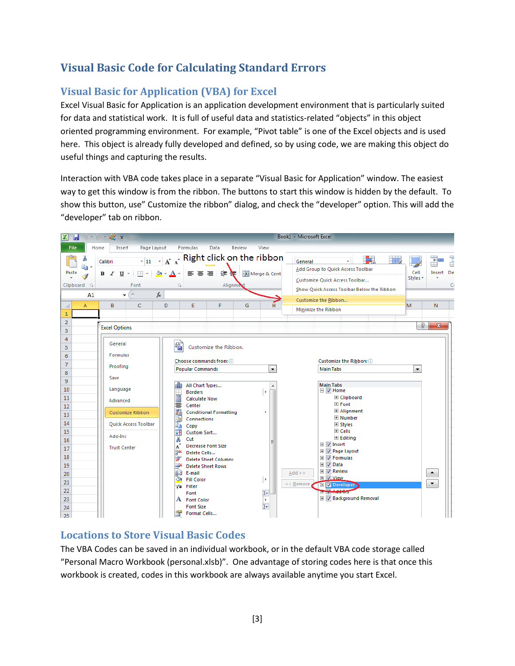# **Visual Basic Code for Calculating Standard Errors**

## **Visual Basic for Application (VBA) for Excel**

Excel Visual Basic for Application is an application development environment that is particularly suited for data and statistical work. It is full of useful data and statistics-related "objects" in this object oriented programming environment. For example, "Pivot table" is one of the Excel objects and is used here. This object is already fully developed and defined, so by using code, we are making this object do useful things and capturing the results.

Interaction with VBA code takes place in a separate "Visual Basic for Application" window. The easiest way to get this window is from the ribbon. The buttons to start this window is hidden by the default. To show this button, use" Customize the ribbon" dialog, and check the "developer" option. This will add the "developer" tab on ribbon.



#### **Locations to Store Visual Basic Codes**

The VBA Codes can be saved in an individual workbook, or in the default VBA code storage called "Personal Macro Workbook (personal.xlsb)". One advantage of storing codes here is that once this workbook is created, codes in this workbook are always available anytime you start Excel.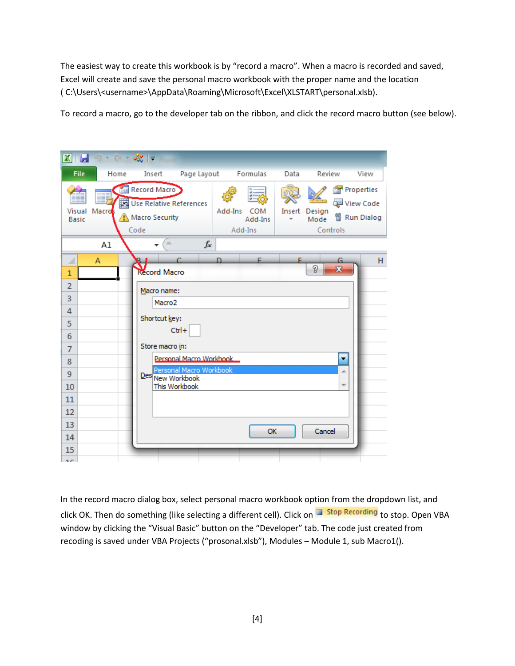The easiest way to create this workbook is by "record a macro". When a macro is recorded and saved, Excel will create and save the personal macro workbook with the proper name and the location ( C:\Users\<username>\AppData\Roaming\Microsoft\Excel\XLSTART\personal.xlsb).

To record a macro, go to the developer tab on the ribbon, and click the record macro button (see below).

| X<br>Ы                                                                                                                                                                                                                                                                                                                                                                                        | $ e^{9}e  =$                                                      |                                      |             |                                                                       |  |  |  |  |
|-----------------------------------------------------------------------------------------------------------------------------------------------------------------------------------------------------------------------------------------------------------------------------------------------------------------------------------------------------------------------------------------------|-------------------------------------------------------------------|--------------------------------------|-------------|-----------------------------------------------------------------------|--|--|--|--|
| File<br>Home                                                                                                                                                                                                                                                                                                                                                                                  | Page Layout<br>Insert                                             | Formulas                             | Data        | Review<br>View                                                        |  |  |  |  |
| <b>Visual</b><br>Macros<br><b>Basic</b>                                                                                                                                                                                                                                                                                                                                                       | Record Macro<br>Use Relative References<br>Macro Security<br>Code | Add-Ins<br>COM<br>Add-Ins<br>Add-Ins | Insert<br>÷ | Properties<br>View Code<br>Design<br>司 Run Dialog<br>Mode<br>Controls |  |  |  |  |
| A1                                                                                                                                                                                                                                                                                                                                                                                            | $\equiv$                                                          | $f_x$                                |             |                                                                       |  |  |  |  |
| F.<br>A<br>F<br>G<br>⊿<br>B.<br>P<br>$\mathbf{x}$<br><b>Record Macro</b><br>$\mathbf{1}$<br>$\overline{2}$<br>Macro name:<br>3<br>Macro <sub>2</sub><br>4<br>Shortcut key:<br>5<br>$Ctrl +$<br>6<br>Store macro in:<br>$\overline{7}$<br>Personal Macro Workbook<br>۰<br>8<br>Personal Macro Workbook<br>9<br>Des New Workbook<br>This Workbook<br>10<br>11<br>12<br>13<br>Cancel<br>OK<br>14 |                                                                   |                                      |             |                                                                       |  |  |  |  |
| 15<br>$\sigma$                                                                                                                                                                                                                                                                                                                                                                                |                                                                   |                                      |             |                                                                       |  |  |  |  |

In the record macro dialog box, select personal macro workbook option from the dropdown list, and click OK. Then do something (like selecting a different cell). Click on **The Stop Recording** to stop. Open VBA window by clicking the "Visual Basic" button on the "Developer" tab. The code just created from recoding is saved under VBA Projects ("prosonal.xlsb"), Modules – Module 1, sub Macro1().